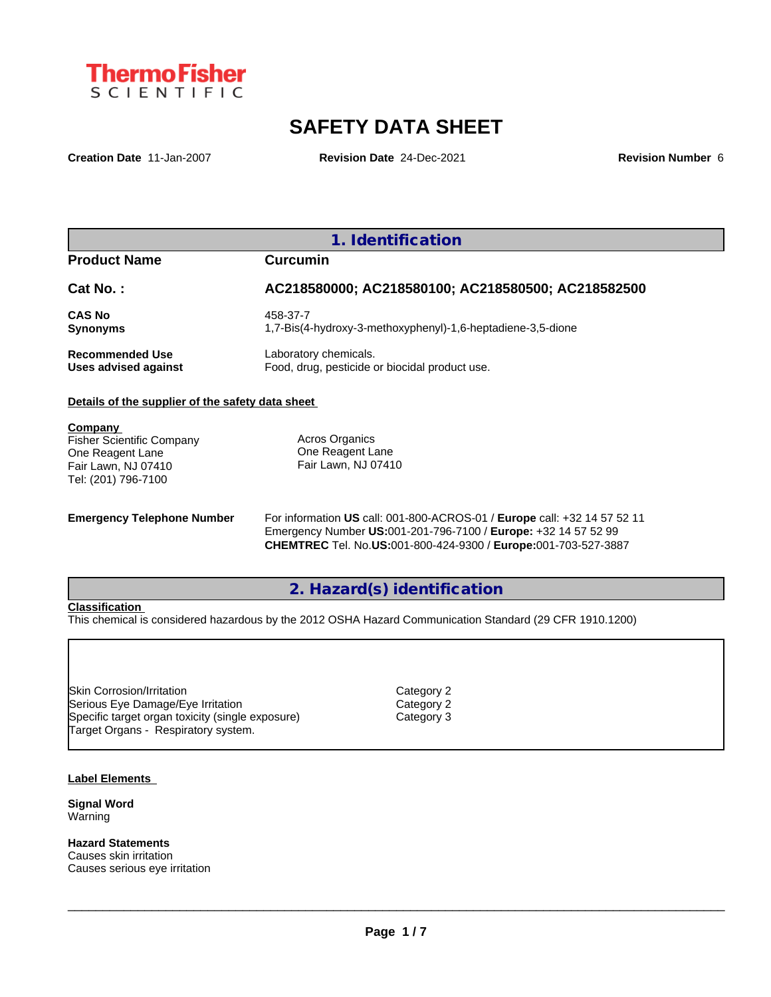

# **SAFETY DATA SHEET**

**Creation Date** 11-Jan-2007 **Revision Date** 24-Dec-2021 **Revision Number** 6

**1. Identification**

**Product Name Curcumin**

| Cat No.:               | AC218580000; AC218580100; AC218580500; AC218582500          |
|------------------------|-------------------------------------------------------------|
| <b>CAS No</b>          | 458-37-7                                                    |
| <b>Synonyms</b>        | 1.7-Bis(4-hydroxy-3-methoxyphenyl)-1.6-heptadiene-3.5-dione |
| <b>Recommended Use</b> | Laboratory chemicals.                                       |
| Uses advised against   | Food, drug, pesticide or biocidal product use.              |

### **Details of the supplier of the safety data sheet**

**Company**  Fisher Scientific Company

One Reagent Lane Fair Lawn, NJ 07410 Tel: (201) 796-7100

Acros Organics One Reagent Lane Fair Lawn, NJ 07410

**Emergency Telephone Number** For information **US** call: 001-800-ACROS-01 / **Europe** call: +32 14 57 52 11 Emergency Number **US:**001-201-796-7100 / **Europe:** +32 14 57 52 99 **CHEMTREC** Tel. No.**US:**001-800-424-9300 / **Europe:**001-703-527-3887

**2. Hazard(s) identification**

### **Classification**

This chemical is considered hazardous by the 2012 OSHA Hazard Communication Standard (29 CFR 1910.1200)

Skin Corrosion/Irritation Category 2 Serious Eye Damage/Eye Irritation Category 2 Specific target organ toxicity (single exposure) Category 3 Target Organs - Respiratory system.

#### **Label Elements**

**Signal Word** Warning

**Hazard Statements** Causes skin irritation Causes serious eye irritation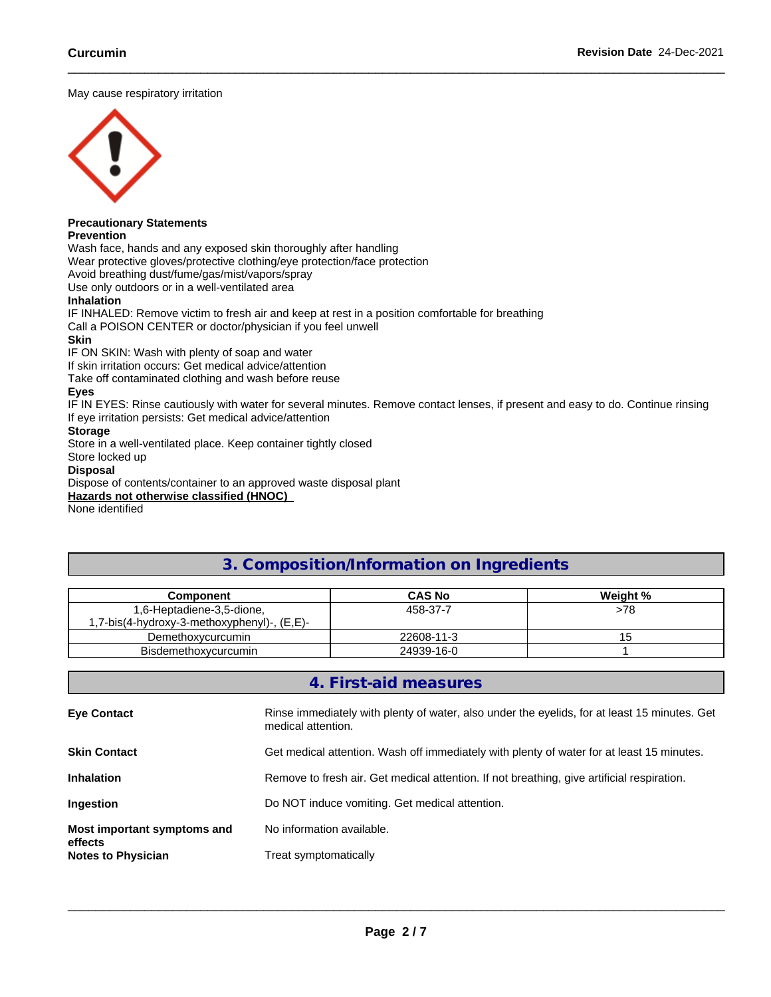May cause respiratory irritation



# **Precautionary Statements**

**Prevention**

Wash face, hands and any exposed skin thoroughly after handling

Wear protective gloves/protective clothing/eye protection/face protection

Avoid breathing dust/fume/gas/mist/vapors/spray

Use only outdoors or in a well-ventilated area

### **Inhalation**

IF INHALED: Remove victim to fresh air and keep at rest in a position comfortable for breathing

Call a POISON CENTER or doctor/physician if you feel unwell

### **Skin**

IF ON SKIN: Wash with plenty of soap and water

If skin irritation occurs: Get medical advice/attention

Take off contaminated clothing and wash before reuse

### **Eyes**

IF IN EYES: Rinse cautiously with water for several minutes. Remove contact lenses, if present and easy to do. Continue rinsing If eye irritation persists: Get medical advice/attention

### **Storage**

Store in a well-ventilated place. Keep container tightly closed

### Store locked up

### **Disposal**

Dispose of contents/container to an approved waste disposal plant

**Hazards not otherwise classified (HNOC)**

None identified

# **3. Composition/Information on Ingredients**

| Component                                  | <b>CAS No</b> | Weight % |
|--------------------------------------------|---------------|----------|
| 1,6-Heptadiene-3,5-dione,                  | 458-37-7      | >78      |
| .7-bis(4-hydroxy-3-methoxyphenyl)-, (E,E)- |               |          |
| Demethoxycurcumin                          | 22608-11-3    |          |
| <b>Bisdemethoxycurcumin</b>                | 24939-16-0    |          |

### **4. First-aid measures**

| <b>Eye Contact</b>                     | Rinse immediately with plenty of water, also under the eyelids, for at least 15 minutes. Get<br>medical attention. |
|----------------------------------------|--------------------------------------------------------------------------------------------------------------------|
| <b>Skin Contact</b>                    | Get medical attention. Wash off immediately with plenty of water for at least 15 minutes.                          |
| <b>Inhalation</b>                      | Remove to fresh air. Get medical attention. If not breathing, give artificial respiration.                         |
| Ingestion                              | Do NOT induce vomiting. Get medical attention.                                                                     |
| Most important symptoms and<br>effects | No information available.                                                                                          |
| <b>Notes to Physician</b>              | Treat symptomatically                                                                                              |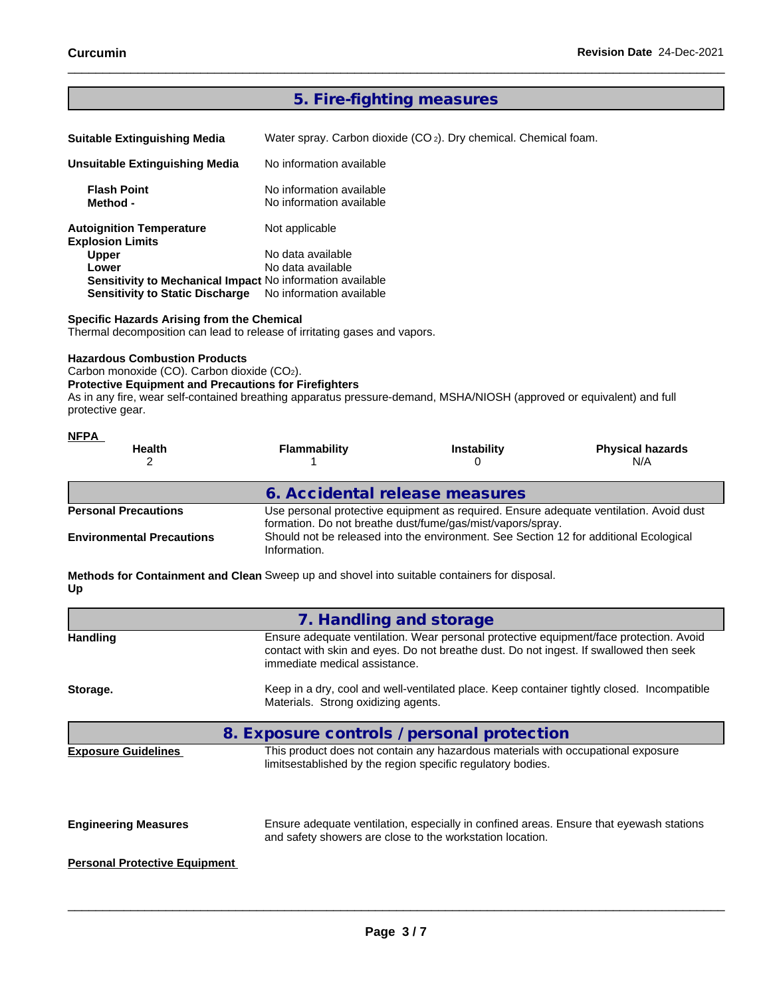# **5. Fire-fighting measures**

Water spray. Carbon dioxide (CO 2). Dry chemical. Chemical foam.

| Unsuitable Extinguishing Media                             | No information available                             |
|------------------------------------------------------------|------------------------------------------------------|
| <b>Flash Point</b><br>Method -                             | No information available<br>No information available |
| <b>Autoignition Temperature</b><br><b>Explosion Limits</b> | Not applicable                                       |
| <b>Upper</b>                                               | No data available                                    |
| Lower                                                      | No data available                                    |
| Sensitivity to Mechanical Impact No information available  |                                                      |
| <b>Sensitivity to Static Discharge</b>                     | No information available                             |

### **Specific Hazards Arising from the Chemical**

Thermal decomposition can lead to release of irritating gases and vapors.

#### **Hazardous Combustion Products**

Carbon monoxide (CO). Carbon dioxide (CO2).

#### **Protective Equipment and Precautions for Firefighters**

As in any fire, wear self-contained breathing apparatus pressure-demand, MSHA/NIOSH (approved or equivalent) and full protective gear.

| <b>NFPA</b>                      |                                                                                                                                                      |                                                                                       |                                |  |  |
|----------------------------------|------------------------------------------------------------------------------------------------------------------------------------------------------|---------------------------------------------------------------------------------------|--------------------------------|--|--|
| <b>Health</b>                    | <b>Flammability</b>                                                                                                                                  | <b>Instability</b>                                                                    | <b>Physical hazards</b><br>N/A |  |  |
|                                  | 6. Accidental release measures                                                                                                                       |                                                                                       |                                |  |  |
| <b>Personal Precautions</b>      | Use personal protective equipment as required. Ensure adequate ventilation. Avoid dust<br>formation. Do not breathe dust/fume/gas/mist/vapors/spray. |                                                                                       |                                |  |  |
| <b>Environmental Precautions</b> | Information.                                                                                                                                         | Should not be released into the environment. See Section 12 for additional Ecological |                                |  |  |

**Methods for Containment and Clean** Sweep up and shovel into suitable containers for disposal. **Up**

|                                      | 7. Handling and storage                                                                                                                                                                                           |
|--------------------------------------|-------------------------------------------------------------------------------------------------------------------------------------------------------------------------------------------------------------------|
| <b>Handling</b>                      | Ensure adequate ventilation. Wear personal protective equipment/face protection. Avoid<br>contact with skin and eyes. Do not breathe dust. Do not ingest. If swallowed then seek<br>immediate medical assistance. |
| Storage.                             | Keep in a dry, cool and well-ventilated place. Keep container tightly closed. Incompatible<br>Materials. Strong oxidizing agents.                                                                                 |
|                                      | 8. Exposure controls / personal protection                                                                                                                                                                        |
| <b>Exposure Guidelines</b>           | This product does not contain any hazardous materials with occupational exposure<br>limitsestablished by the region specific regulatory bodies.                                                                   |
| <b>Engineering Measures</b>          | Ensure adequate ventilation, especially in confined areas. Ensure that eyewash stations<br>and safety showers are close to the workstation location.                                                              |
| <b>Personal Protective Equipment</b> |                                                                                                                                                                                                                   |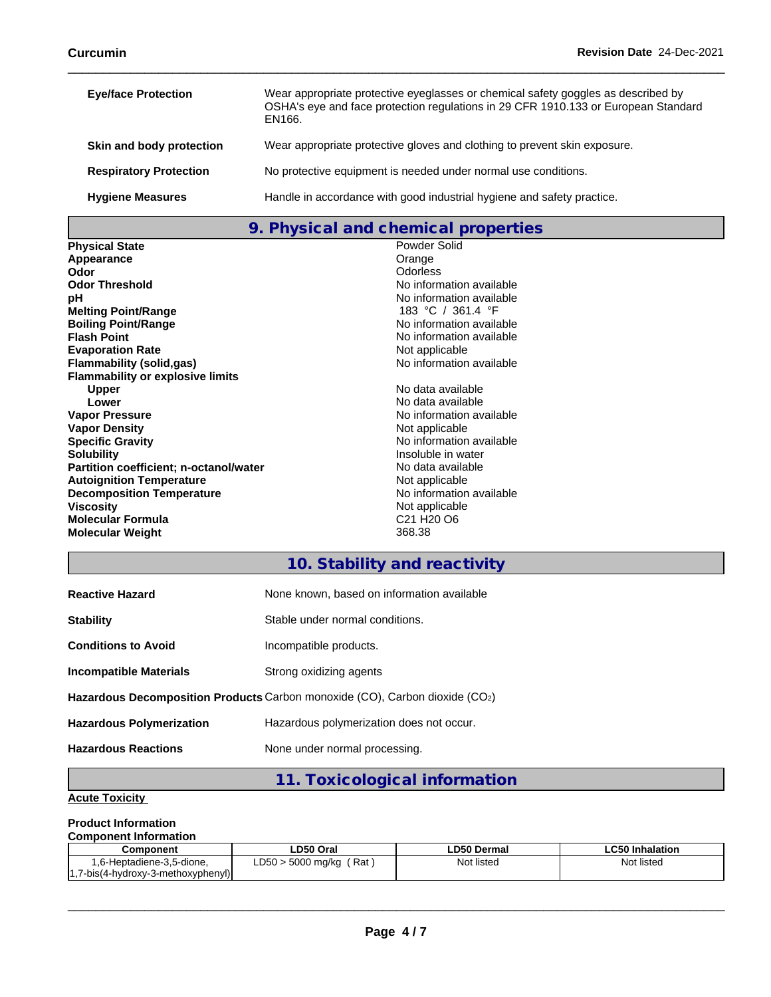| <b>Eye/face Protection</b>    | Wear appropriate protective eyeglasses or chemical safety goggles as described by<br>OSHA's eye and face protection regulations in 29 CFR 1910.133 or European Standard<br>EN166. |
|-------------------------------|-----------------------------------------------------------------------------------------------------------------------------------------------------------------------------------|
| Skin and body protection      | Wear appropriate protective gloves and clothing to prevent skin exposure.                                                                                                         |
| <b>Respiratory Protection</b> | No protective equipment is needed under normal use conditions.                                                                                                                    |
| <b>Hygiene Measures</b>       | Handle in accordance with good industrial hygiene and safety practice.                                                                                                            |

### **9. Physical and chemical properties**

| <b>Physical State</b>                   | Powder Solid                                   |
|-----------------------------------------|------------------------------------------------|
| Appearance                              | Orange                                         |
| Odor                                    | Odorless                                       |
| <b>Odor Threshold</b>                   | No information available                       |
| рH                                      | No information available                       |
| <b>Melting Point/Range</b>              | 183 °C / 361.4 °F                              |
| <b>Boiling Point/Range</b>              | No information available                       |
| <b>Flash Point</b>                      | No information available                       |
| <b>Evaporation Rate</b>                 | Not applicable                                 |
| Flammability (solid,gas)                | No information available                       |
| <b>Flammability or explosive limits</b> |                                                |
| <b>Upper</b>                            | No data available                              |
| Lower                                   | No data available                              |
| <b>Vapor Pressure</b>                   | No information available                       |
| <b>Vapor Density</b>                    | Not applicable                                 |
| <b>Specific Gravity</b>                 | No information available                       |
| <b>Solubility</b>                       | Insoluble in water                             |
| Partition coefficient; n-octanol/water  | No data available                              |
| <b>Autoignition Temperature</b>         | Not applicable                                 |
| <b>Decomposition Temperature</b>        | No information available                       |
| <b>Viscosity</b>                        | Not applicable                                 |
| <b>Molecular Formula</b>                | C <sub>21</sub> H <sub>20</sub> O <sub>6</sub> |
| <b>Molecular Weight</b>                 | 368.38                                         |

## **10. Stability and reactivity**

| <b>Reactive Hazard</b>          | None known, based on information available                                  |
|---------------------------------|-----------------------------------------------------------------------------|
| <b>Stability</b>                | Stable under normal conditions.                                             |
| <b>Conditions to Avoid</b>      | Incompatible products.                                                      |
| <b>Incompatible Materials</b>   | Strong oxidizing agents                                                     |
|                                 | Hazardous Decomposition Products Carbon monoxide (CO), Carbon dioxide (CO2) |
| <b>Hazardous Polymerization</b> | Hazardous polymerization does not occur.                                    |
| <b>Hazardous Reactions</b>      | None under normal processing.                                               |

# **11. Toxicological information**

### **Acute Toxicity**

### **Product Information**

#### **Component Information**

| Component                        | LD50 Oral                                        | <b>LD50 Dermal</b> | .C50 Inhalation<br>–പാ∪ " |
|----------------------------------|--------------------------------------------------|--------------------|---------------------------|
| '-Heptadiene-3.5-dione.<br>. .   | D50<br>Rai<br>$F^{\wedge}$<br>5000 mg/kg<br>∟ບບບ | Not listed         | Not listed                |
| 7-bis(4-hydroxy-3-methoxyphenyl) |                                                  |                    |                           |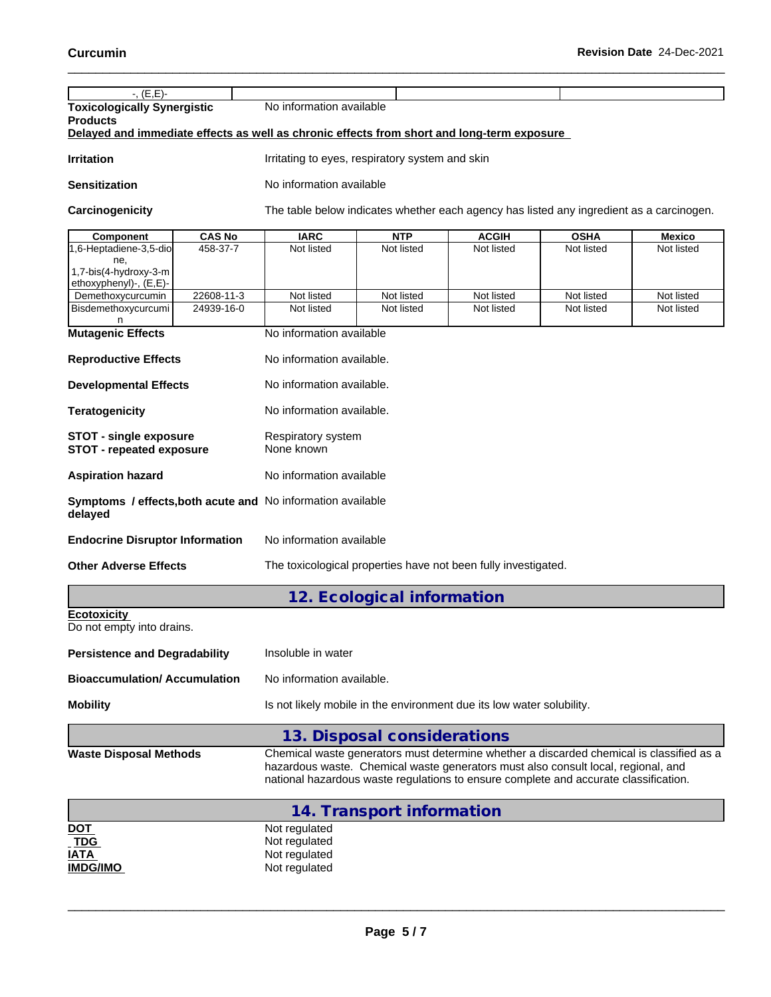| $-$ , $(E, E)$ -                                                                           |                                  |                                                                                                                                                                           |              |             |               |  |
|--------------------------------------------------------------------------------------------|----------------------------------|---------------------------------------------------------------------------------------------------------------------------------------------------------------------------|--------------|-------------|---------------|--|
| <b>Toxicologically Synergistic</b>                                                         | No information available         |                                                                                                                                                                           |              |             |               |  |
| <b>Products</b>                                                                            |                                  |                                                                                                                                                                           |              |             |               |  |
| Delayed and immediate effects as well as chronic effects from short and long-term exposure |                                  |                                                                                                                                                                           |              |             |               |  |
| <b>Irritation</b>                                                                          |                                  | Irritating to eyes, respiratory system and skin                                                                                                                           |              |             |               |  |
| <b>Sensitization</b>                                                                       | No information available         |                                                                                                                                                                           |              |             |               |  |
| Carcinogenicity                                                                            |                                  | The table below indicates whether each agency has listed any ingredient as a carcinogen.                                                                                  |              |             |               |  |
| <b>CAS No</b><br>Component                                                                 | <b>IARC</b>                      | <b>NTP</b>                                                                                                                                                                | <b>ACGIH</b> | <b>OSHA</b> | <b>Mexico</b> |  |
| 458-37-7<br>1,6-Heptadiene-3,5-dio                                                         | Not listed                       | Not listed                                                                                                                                                                | Not listed   | Not listed  | Not listed    |  |
| ne,<br>1,7-bis(4-hydroxy-3-m                                                               |                                  |                                                                                                                                                                           |              |             |               |  |
| ethoxyphenyl)-, (E,E)-<br>22608-11-3<br>Demethoxycurcumin                                  | Not listed                       | Not listed                                                                                                                                                                | Not listed   | Not listed  | Not listed    |  |
| 24939-16-0<br>Bisdemethoxycurcumi                                                          | Not listed                       | Not listed                                                                                                                                                                | Not listed   | Not listed  | Not listed    |  |
| n                                                                                          |                                  |                                                                                                                                                                           |              |             |               |  |
| <b>Mutagenic Effects</b>                                                                   | No information available         |                                                                                                                                                                           |              |             |               |  |
| <b>Reproductive Effects</b>                                                                | No information available.        |                                                                                                                                                                           |              |             |               |  |
| <b>Developmental Effects</b>                                                               | No information available.        |                                                                                                                                                                           |              |             |               |  |
| <b>Teratogenicity</b>                                                                      | No information available.        |                                                                                                                                                                           |              |             |               |  |
| <b>STOT - single exposure</b><br><b>STOT - repeated exposure</b>                           | Respiratory system<br>None known |                                                                                                                                                                           |              |             |               |  |
| <b>Aspiration hazard</b>                                                                   |                                  | No information available                                                                                                                                                  |              |             |               |  |
| Symptoms / effects, both acute and No information available<br>delayed                     |                                  |                                                                                                                                                                           |              |             |               |  |
| <b>Endocrine Disruptor Information</b>                                                     | No information available         |                                                                                                                                                                           |              |             |               |  |
| <b>Other Adverse Effects</b>                                                               |                                  | The toxicological properties have not been fully investigated.                                                                                                            |              |             |               |  |
|                                                                                            |                                  | 12. Ecological information                                                                                                                                                |              |             |               |  |
| <b>Ecotoxicity</b>                                                                         |                                  |                                                                                                                                                                           |              |             |               |  |
| Do not empty into drains.                                                                  |                                  |                                                                                                                                                                           |              |             |               |  |
| <b>Persistence and Degradability</b>                                                       |                                  | Insoluble in water                                                                                                                                                        |              |             |               |  |
| <b>Bioaccumulation/ Accumulation</b>                                                       | No information available.        |                                                                                                                                                                           |              |             |               |  |
| <b>Mobility</b>                                                                            |                                  | Is not likely mobile in the environment due its low water solubility.                                                                                                     |              |             |               |  |
|                                                                                            |                                  | 13. Disposal considerations                                                                                                                                               |              |             |               |  |
| <b>Waste Disposal Methods</b>                                                              |                                  | Chemical waste generators must determine whether a discarded chemical is classified as a                                                                                  |              |             |               |  |
|                                                                                            |                                  | hazardous waste. Chemical waste generators must also consult local, regional, and<br>national hazardous waste regulations to ensure complete and accurate classification. |              |             |               |  |
|                                                                                            |                                  |                                                                                                                                                                           |              |             |               |  |
| DOT                                                                                        | Not regulated                    | 14. Transport information                                                                                                                                                 |              |             |               |  |
| <b>TDG</b>                                                                                 | Not regulated                    |                                                                                                                                                                           |              |             |               |  |
| <b>IATA</b>                                                                                | Not regulated                    |                                                                                                                                                                           |              |             |               |  |

 $\_$  ,  $\_$  ,  $\_$  ,  $\_$  ,  $\_$  ,  $\_$  ,  $\_$  ,  $\_$  ,  $\_$  ,  $\_$  ,  $\_$  ,  $\_$  ,  $\_$  ,  $\_$  ,  $\_$  ,  $\_$  ,  $\_$  ,  $\_$  ,  $\_$  ,  $\_$  ,  $\_$  ,  $\_$  ,  $\_$  ,  $\_$  ,  $\_$  ,  $\_$  ,  $\_$  ,  $\_$  ,  $\_$  ,  $\_$  ,  $\_$  ,  $\_$  ,  $\_$  ,  $\_$  ,  $\_$  ,  $\_$  ,  $\_$  ,

**IMDG/IMO** Not regulated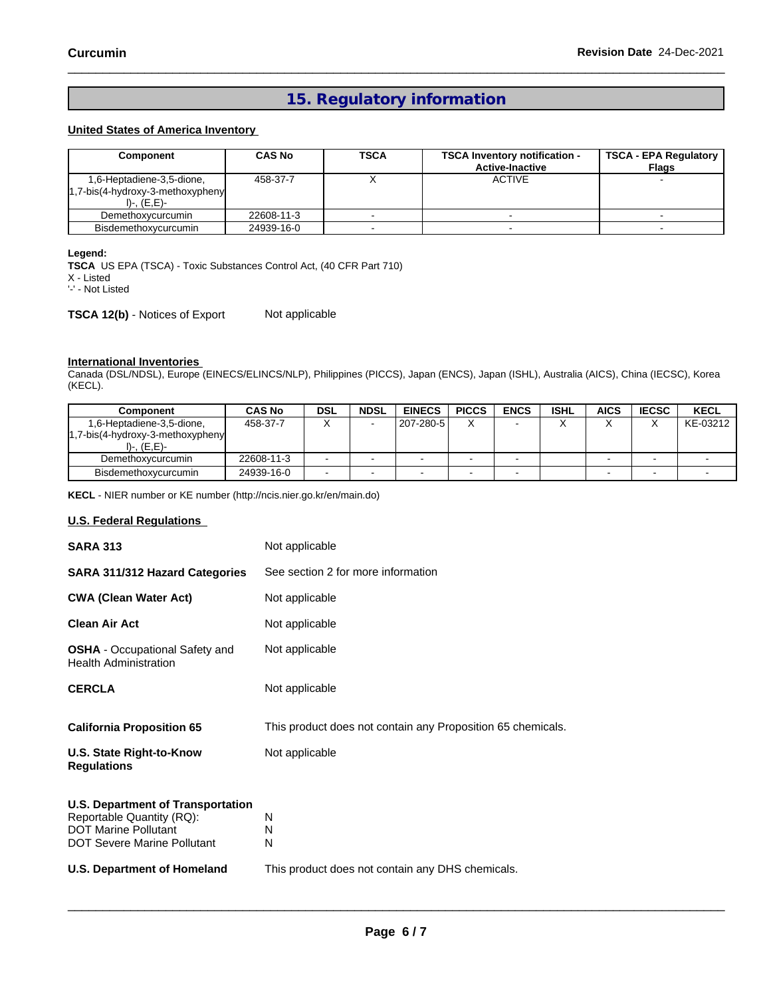## **15. Regulatory information**

### **United States of America Inventory**

| Component                                                                             | <b>CAS No</b> | <b>TSCA</b> | <b>TSCA Inventory notification -</b><br><b>Active-Inactive</b> | <b>TSCA - EPA Regulatory</b><br><b>Flags</b> |
|---------------------------------------------------------------------------------------|---------------|-------------|----------------------------------------------------------------|----------------------------------------------|
| 1,6-Heptadiene-3,5-dione,<br>$1.7$ -bis(4-hydroxy-3-methoxypheny<br>$I$ )-, $(E,E)$ - | 458-37-7      | $\lambda$   | <b>ACTIVE</b>                                                  |                                              |
| Demethoxycurcumin                                                                     | 22608-11-3    |             |                                                                |                                              |
| Bisdemethoxycurcumin                                                                  | 24939-16-0    |             |                                                                |                                              |

### **Legend:**

**TSCA** US EPA (TSCA) - Toxic Substances Control Act, (40 CFR Part 710)

X - Listed

'-' - Not Listed

**TSCA 12(b)** - Notices of Export Not applicable

#### **International Inventories**

Canada (DSL/NDSL), Europe (EINECS/ELINCS/NLP), Philippines (PICCS), Japan (ENCS), Japan (ISHL), Australia (AICS), China (IECSC), Korea (KECL).

| Component                            | <b>CAS No</b> | <b>DSL</b> | <b>NDSL</b> | <b>EINECS</b> | <b>PICCS</b> | <b>ENCS</b> | <b>ISHL</b> | AICS | <b>IECSC</b> | <b>KECL</b> |
|--------------------------------------|---------------|------------|-------------|---------------|--------------|-------------|-------------|------|--------------|-------------|
| 1,6-Heptadiene-3,5-dione,            | 458-37-7      | $\lambda$  |             | 207-280-5     |              |             |             |      |              | KE-03212    |
| $1,7-bis(4-hydroxy-3-methoxyphenyl)$ |               |            |             |               |              |             |             |      |              |             |
| I)-, (E,E)-                          |               |            |             |               |              |             |             |      |              |             |
| Demethoxycurcumin                    | 22608-11-3    |            |             | $\sim$        |              |             |             |      |              |             |
| Bisdemethoxycurcumin                 | 24939-16-0    |            |             |               |              |             |             |      |              |             |

**KECL** - NIER number or KE number (http://ncis.nier.go.kr/en/main.do)

### **U.S. Federal Regulations**

| <b>SARA 313</b>                                                                                                                            | Not applicable                                              |
|--------------------------------------------------------------------------------------------------------------------------------------------|-------------------------------------------------------------|
| <b>SARA 311/312 Hazard Categories</b>                                                                                                      | See section 2 for more information                          |
| <b>CWA (Clean Water Act)</b>                                                                                                               | Not applicable                                              |
| <b>Clean Air Act</b>                                                                                                                       | Not applicable                                              |
| <b>OSHA</b> - Occupational Safety and<br><b>Health Administration</b>                                                                      | Not applicable                                              |
|                                                                                                                                            |                                                             |
| <b>CERCLA</b>                                                                                                                              | Not applicable                                              |
| <b>California Proposition 65</b>                                                                                                           | This product does not contain any Proposition 65 chemicals. |
| U.S. State Right-to-Know<br><b>Regulations</b>                                                                                             | Not applicable                                              |
| <b>U.S. Department of Transportation</b><br>Reportable Quantity (RQ):<br><b>DOT Marine Pollutant</b><br><b>DOT Severe Marine Pollutant</b> | N<br>N<br>N                                                 |